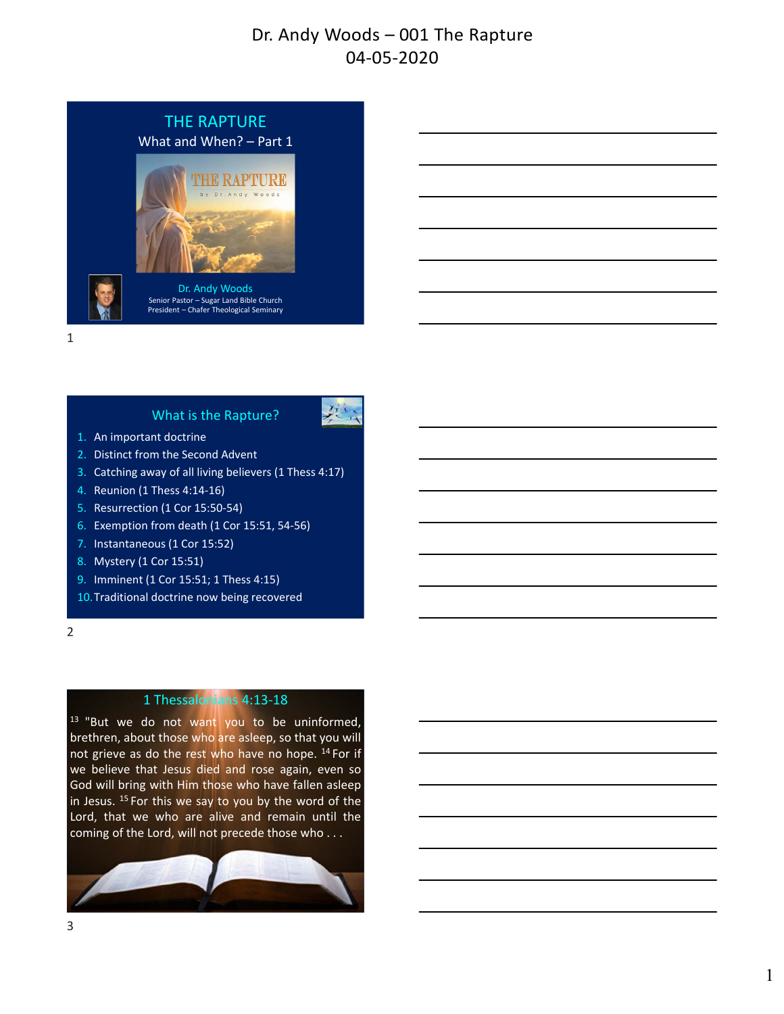

#### What is the Rapture?



- 1. An important doctrine
- 2. Distinct from the Second Advent
- 3. Catching away of all living believers (1 Thess 4:17)
- 4. Reunion (1 Thess 4:14‐16)
- 5. Resurrection (1 Cor 15:50‐54)
- 6. Exemption from death (1 Cor 15:51, 54‐56)
- 7. Instantaneous (1 Cor 15:52)
- 8. Mystery (1 Cor 15:51)
- 9. Imminent (1 Cor 15:51; 1 Thess 4:15)
- 10.Traditional doctrine now being recovered
- 2

# 1 Thessalonians 4:13‐18

<sup>13</sup> "But we do not want you to be uninformed, brethren, about those who are asleep, so that you will not grieve as do the rest who have no hope. <sup>14</sup> For if we believe that Jesus died and rose again, even so God will bring with Him those who have fallen asleep in Jesus.  $15$  For this we say to you by the word of the Lord, that we who are alive and remain until the coming of the Lord, will not precede those who . . .

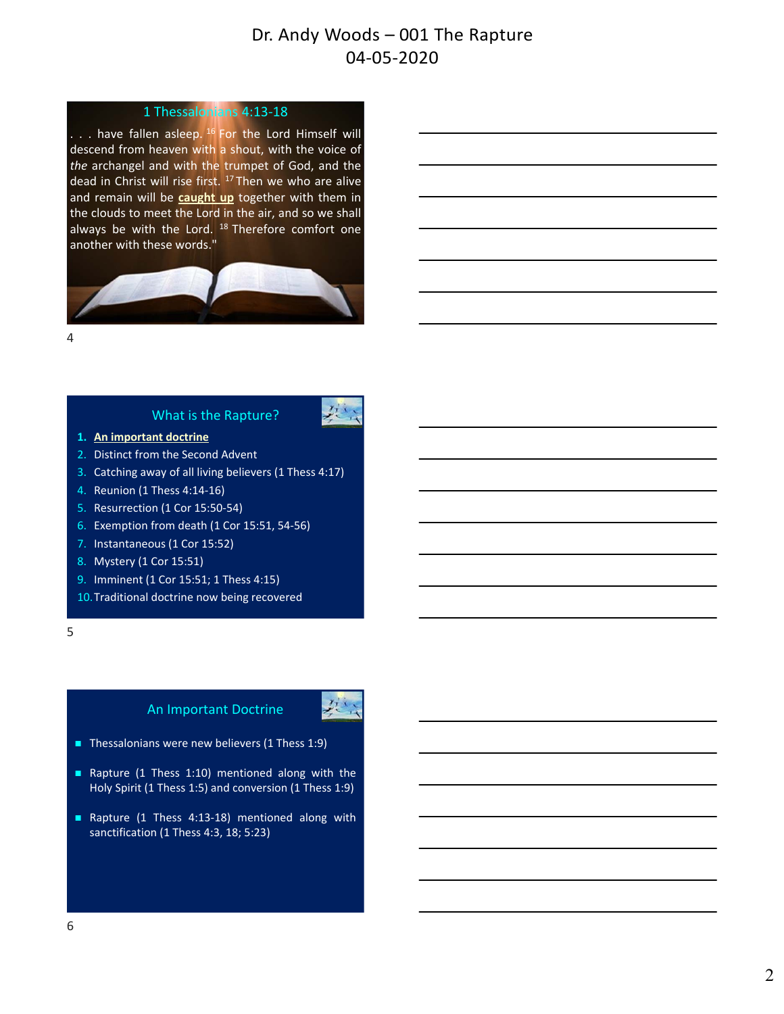### 1 Thessalonians 4:13‐18

. . . have fallen asleep. <sup>16</sup> For the Lord Himself will descend from heaven with a shout, with the voice of *the* archangel and with the trumpet of God, and the dead in Christ will rise first. <sup>17</sup> Then we who are alive and remain will be **caught up** together with them in the clouds to meet the Lord in the air, and so we shall always be with the Lord. <sup>18</sup> Therefore comfort one another with these words."



 $\Delta$ 

## What is the Rapture?

- **1. An important doctrine**
- 2. Distinct from the Second Advent
- 3. Catching away of all living believers (1 Thess 4:17)
- 4. Reunion (1 Thess 4:14‐16)
- 5. Resurrection (1 Cor 15:50‐54)
- 6. Exemption from death (1 Cor 15:51, 54‐56)
- 7. Instantaneous (1 Cor 15:52)
- 8. Mystery (1 Cor 15:51)
- 9. Imminent (1 Cor 15:51; 1 Thess 4:15)
- 10.Traditional doctrine now being recovered

5

### An Important Doctrine



- Thessalonians were new believers  $(1)$  Thess  $1:9$ )
- Rapture (1 Thess 1:10) mentioned along with the Holy Spirit (1 Thess 1:5) and conversion (1 Thess 1:9)
- Rapture (1 Thess 4:13-18) mentioned along with sanctification (1 Thess 4:3, 18; 5:23)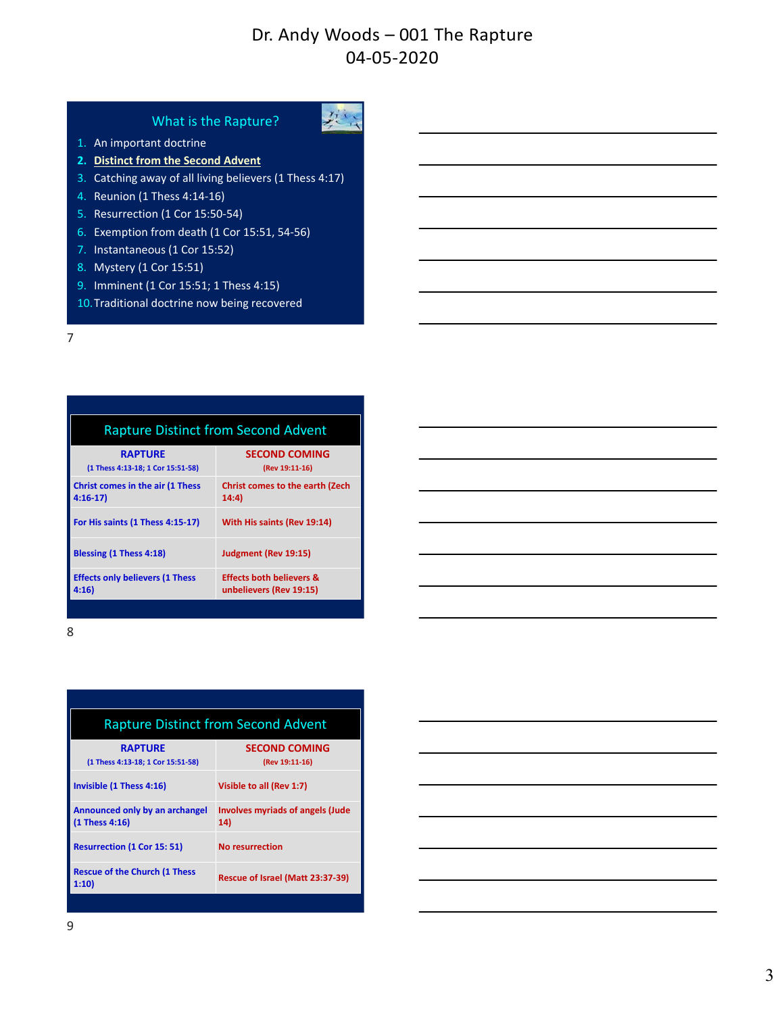#### What is the Rapture?



- 1. An important doctrine
- **2. Distinct from the Second Advent**
- 3. Catching away of all living believers (1 Thess 4:17)
- 4. Reunion (1 Thess 4:14‐16)
- 5. Resurrection (1 Cor 15:50‐54)
- 6. Exemption from death (1 Cor 15:51, 54‐56)
- 7. Instantaneous (1 Cor 15:52)
- 8. Mystery (1 Cor 15:51)
- 9. Imminent (1 Cor 15:51; 1 Thess 4:15)
- 10.Traditional doctrine now being recovered

| <b>Rapture Distinct from Second Advent</b>           |                                                                |  |  |  |
|------------------------------------------------------|----------------------------------------------------------------|--|--|--|
| <b>RAPTURE</b><br>(1 Thess 4:13-18; 1 Cor 15:51-58)  | <b>SECOND COMING</b><br>(Rev 19:11-16)                         |  |  |  |
| <b>Christ comes in the air (1 Thess</b><br>$4:16-17$ | <b>Christ comes to the earth (Zech</b><br>14:4)                |  |  |  |
| For His saints (1 Thess 4:15-17)                     | With His saints (Rev 19:14)                                    |  |  |  |
| Blessing (1 Thess 4:18)                              | Judgment (Rev 19:15)                                           |  |  |  |
| <b>Effects only believers (1 Thess</b><br>4:16       | <b>Effects both believers &amp;</b><br>unbelievers (Rev 19:15) |  |  |  |

|                                                                                                                                                                                                                                  | ,我们也不会有什么。""我们的人,我们也不会有什么?""我们的人,我们也不会有什么?""我们的人,我们也不会有什么?""我们的人,我们也不会有什么?""我们的人 |  |  |
|----------------------------------------------------------------------------------------------------------------------------------------------------------------------------------------------------------------------------------|----------------------------------------------------------------------------------|--|--|
|                                                                                                                                                                                                                                  |                                                                                  |  |  |
| <u> Alexandro de la contrada de la contrada de la contrada de la contrada de la contrada de la contrada de la co</u>                                                                                                             |                                                                                  |  |  |
| a shekarar 1980 haqida qayta tashkil qayta tashkil qayta tashkil qayta tashkil qayta tashkil qayta tashkil qay<br>Markiy qayta tashkil qayta tashkil qayta tashkil qayta tashkil qayta tashkil qayta tashkil qayta tashkil qayta |                                                                                  |  |  |
| <u> 1989 - Johann John Stone, meilich aus der Stone († 1989)</u>                                                                                                                                                                 |                                                                                  |  |  |
|                                                                                                                                                                                                                                  |                                                                                  |  |  |
|                                                                                                                                                                                                                                  |                                                                                  |  |  |

8

| <b>Rapture Distinct from Second Advent</b>          |                                                |  |  |  |
|-----------------------------------------------------|------------------------------------------------|--|--|--|
| <b>RAPTURE</b><br>(1 Thess 4:13-18; 1 Cor 15:51-58) | <b>SECOND COMING</b><br>(Rev 19:11-16)         |  |  |  |
| Invisible (1 Thess 4:16)                            | Visible to all (Rev 1:7)                       |  |  |  |
| Announced only by an archangel<br>(1 Thess 4:16)    | <b>Involves myriads of angels (Jude</b><br>14) |  |  |  |
| <b>Resurrection (1 Cor 15: 51)</b>                  | <b>No resurrection</b>                         |  |  |  |
| <b>Rescue of the Church (1 Thess</b><br>1:10        | Rescue of Israel (Matt 23:37-39)               |  |  |  |
|                                                     |                                                |  |  |  |

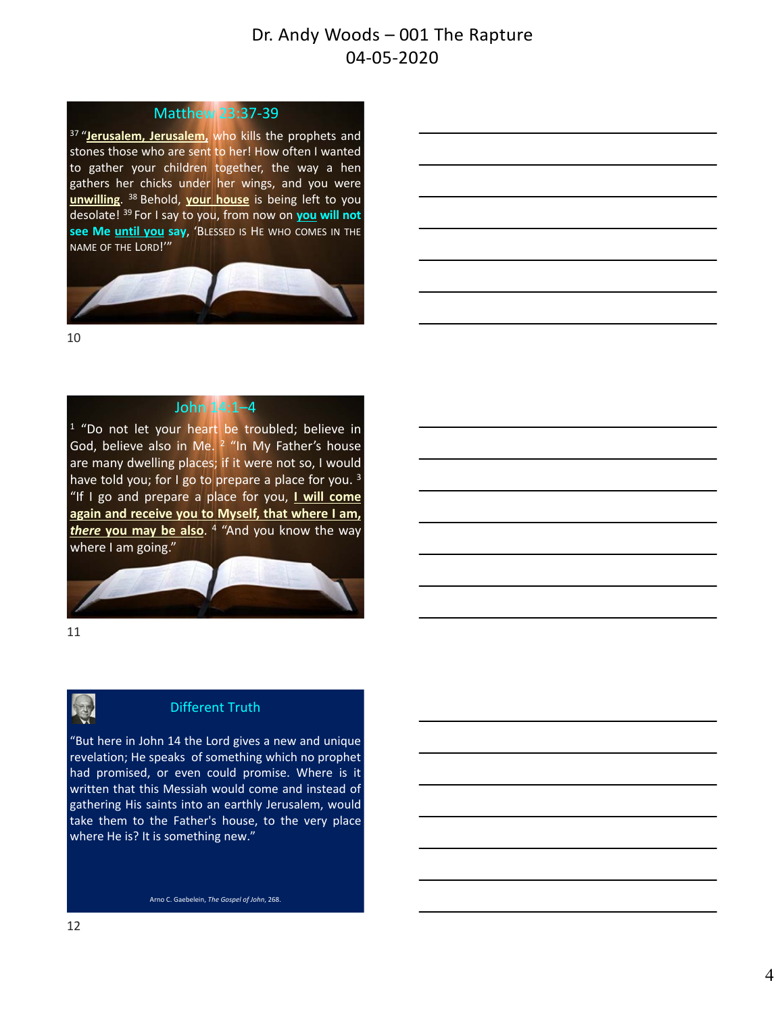### Matthew 23:37‐39

<sup>37</sup> "Jerusalem, Jerusalem, who kills the prophets and stones those who are sent to her! How often I wanted to gather your children together, the way a hen gathers her chicks under her wings, and you were **unwilling**. <sup>38</sup> Behold, **your house** is being left to you desolate! <sup>39</sup> For I say to you, from now on **you will not see Me until you say**, 'BLESSED IS HE WHO COMES IN THE NAME OF THE LORD!'"



10

# John 14:1–4

<sup>1</sup> "Do not let your heart be troubled; believe in God, believe also in Me.  $2$  "In My Father's house are many dwelling places; if it were not so, I would have told you; for I go to prepare a place for you.  $3$ "If I go and prepare a place for you, **I will come again and receive you to Myself, that where I am,** *there* **you may be also**. <sup>4</sup> "And you know the way where I am going."



11



# Different Truth

"But here in John 14 the Lord gives a new and unique revelation; He speaks of something which no prophet had promised, or even could promise. Where is it written that this Messiah would come and instead of gathering His saints into an earthly Jerusalem, would take them to the Father's house, to the very place where He is? It is something new."

Arno C. Gaebelein, *The Gospel of John*, 268.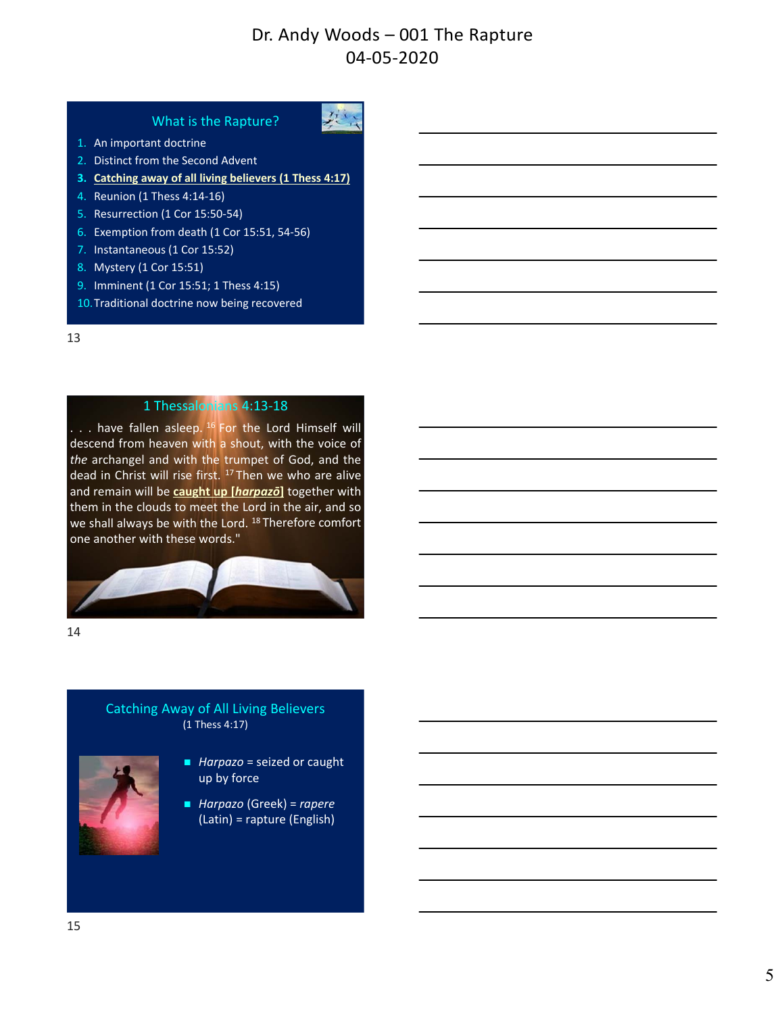#### What is the Rapture?



- 1. An important doctrine
- 2. Distinct from the Second Advent
- **3. Catching away of all living believers (1 Thess 4:17)**
- 4. Reunion (1 Thess 4:14‐16)
- 5. Resurrection (1 Cor 15:50‐54)
- 6. Exemption from death (1 Cor 15:51, 54‐56)
- 7. Instantaneous (1 Cor 15:52)
- 8. Mystery (1 Cor 15:51)
- 9. Imminent (1 Cor 15:51; 1 Thess 4:15)
- 10.Traditional doctrine now being recovered

#### 13

#### 1 Thessalonians 4:13‐18

... have fallen asleep. <sup>16</sup> For the Lord Himself will descend from heaven with a shout, with the voice of *the* archangel and with the trumpet of God, and the dead in Christ will rise first. <sup>17</sup> Then we who are alive and remain will be **caught up [***harpazō***]** together with them in the clouds to meet the Lord in the air, and so we shall always be with the Lord.<sup>18</sup> Therefore comfort one another with these words."



14

### Catching Away of All Living Believers (1 Thess 4:17)



- *Harpazo* = seized or caught up by force
- *Harpazo* (Greek) = *rapere* (Latin) = rapture (English)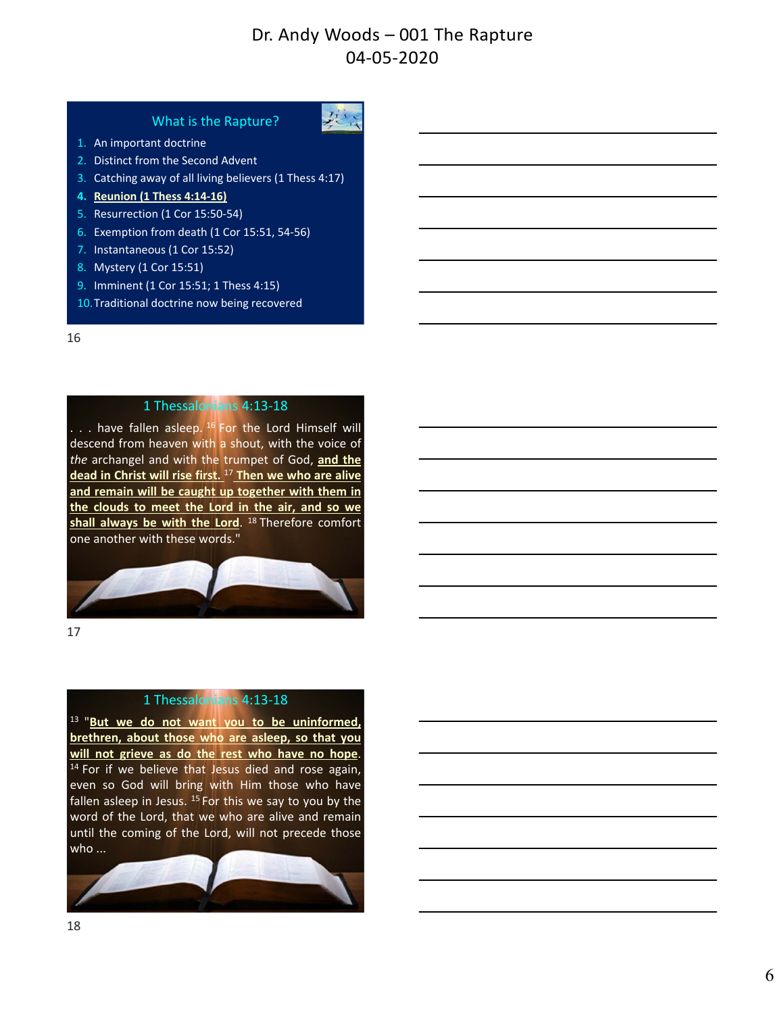#### What is the Rapture?



- 1. An important doctrine
- 2. Distinct from the Second Advent
- 3. Catching away of all living believers (1 Thess 4:17)
- **4. Reunion (1 Thess 4:14‐16)**
- 5. Resurrection (1 Cor 15:50‐54)
- 6. Exemption from death (1 Cor 15:51, 54‐56)
- 7. Instantaneous (1 Cor 15:52)
- 8. Mystery (1 Cor 15:51)
- 9. Imminent (1 Cor 15:51; 1 Thess 4:15)
- 10.Traditional doctrine now being recovered

#### 16

#### 1 Thessalonians 4:13‐18

. . . have fallen asleep. <sup>16</sup> For the Lord Himself will descend from heaven with a shout, with the voice of *the* archangel and with the trumpet of God, **and the dead in Christ will rise first.** <sup>17</sup> **Then we who are alive and remain will be caught up together with them in the clouds to meet the Lord in the air, and so we** shall always be with the Lord. <sup>18</sup> Therefore comfort one another with these words."



17

### 1 Thessalonians 4:13‐18

<sup>13</sup> "**But we do not want you to be uninformed, brethren, about those who are asleep, so that you will not grieve as do the rest who have no hope**.  $14$  For if we believe that Jesus died and rose again, even so God will bring with Him those who have fallen asleep in Jesus.  $15$  For this we say to you by the word of the Lord, that we who are alive and remain until the coming of the Lord, will not precede those who ...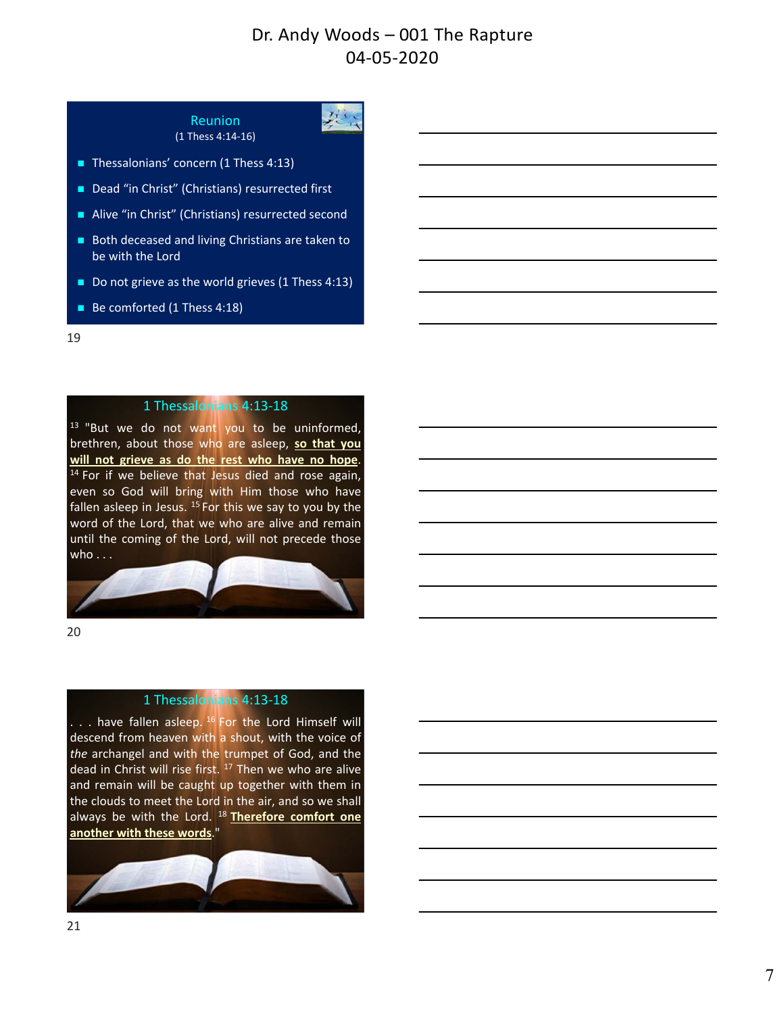处

# Reunion



- Thessalonians' concern (1 Thess 4:13)
- Dead "in Christ" (Christians) resurrected first
- Alive "in Christ" (Christians) resurrected second
- Both deceased and living Christians are taken to be with the Lord
- Do not grieve as the world grieves (1 Thess 4:13)
- Be comforted (1 Thess 4:18)

#### 19

### 1 Thessalonians 4:13‐18

<sup>13</sup> "But we do not want you to be uninformed, brethren, about those who are asleep, **so that you will not grieve as do the rest who have no hope**.  $14$  For if we believe that Jesus died and rose again, even so God will bring with Him those who have fallen asleep in Jesus. <sup>15</sup> For this we say to you by the word of the Lord, that we who are alive and remain until the coming of the Lord, will not precede those who . . .



20

#### 1 Thessalonians 4:13‐18

... have fallen asleep. <sup>16</sup> For the Lord Himself will descend from heaven with a shout, with the voice of *the* archangel and with the trumpet of God, and the dead in Christ will rise first. <sup>17</sup> Then we who are alive and remain will be caught up together with them in the clouds to meet the Lord in the air, and so we shall always be with the Lord. <sup>18</sup> **Therefore comfort one another with these words**."